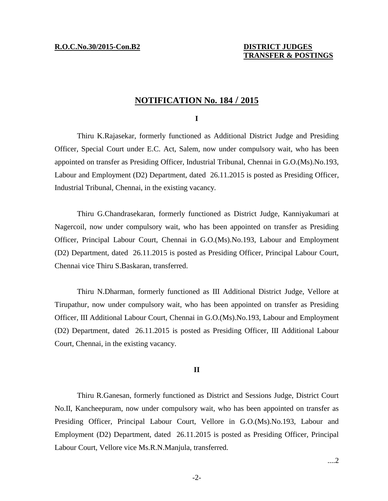# **NOTIFICATION No. 184 / 2015**

### **I**

Thiru K.Rajasekar, formerly functioned as Additional District Judge and Presiding Officer, Special Court under E.C. Act, Salem, now under compulsory wait, who has been appointed on transfer as Presiding Officer, Industrial Tribunal, Chennai in G.O.(Ms).No.193, Labour and Employment (D2) Department, dated 26.11.2015 is posted as Presiding Officer, Industrial Tribunal, Chennai, in the existing vacancy.

Thiru G.Chandrasekaran, formerly functioned as District Judge, Kanniyakumari at Nagercoil, now under compulsory wait, who has been appointed on transfer as Presiding Officer, Principal Labour Court, Chennai in G.O.(Ms).No.193, Labour and Employment (D2) Department, dated 26.11.2015 is posted as Presiding Officer, Principal Labour Court, Chennai vice Thiru S.Baskaran, transferred.

Thiru N.Dharman, formerly functioned as III Additional District Judge, Vellore at Tirupathur, now under compulsory wait, who has been appointed on transfer as Presiding Officer, III Additional Labour Court, Chennai in G.O.(Ms).No.193, Labour and Employment (D2) Department, dated 26.11.2015 is posted as Presiding Officer, III Additional Labour Court, Chennai, in the existing vacancy.

### **II**

Thiru R.Ganesan, formerly functioned as District and Sessions Judge, District Court No.II, Kancheepuram, now under compulsory wait, who has been appointed on transfer as Presiding Officer, Principal Labour Court, Vellore in G.O.(Ms).No.193, Labour and Employment (D2) Department, dated 26.11.2015 is posted as Presiding Officer, Principal Labour Court, Vellore vice Ms.R.N.Manjula, transferred.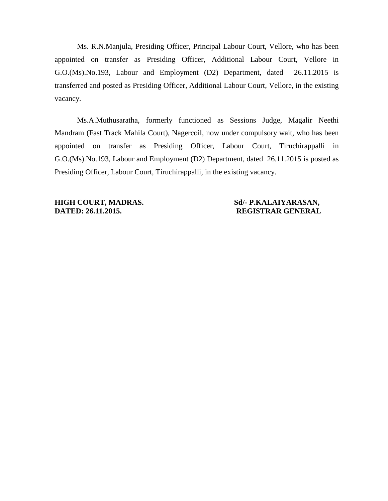Ms. R.N.Manjula, Presiding Officer, Principal Labour Court, Vellore, who has been appointed on transfer as Presiding Officer, Additional Labour Court, Vellore in G.O.(Ms).No.193, Labour and Employment (D2) Department, dated 26.11.2015 is transferred and posted as Presiding Officer, Additional Labour Court, Vellore, in the existing vacancy.

Ms.A.Muthusaratha, formerly functioned as Sessions Judge, Magalir Neethi Mandram (Fast Track Mahila Court), Nagercoil, now under compulsory wait, who has been appointed on transfer as Presiding Officer, Labour Court, Tiruchirappalli in G.O.(Ms).No.193, Labour and Employment (D2) Department, dated 26.11.2015 is posted as Presiding Officer, Labour Court, Tiruchirappalli, in the existing vacancy.

**HIGH COURT, MADRAS. Sd/- P.KALAIYARASAN, DATED: 26.11.2015. REGISTRAR GENERAL**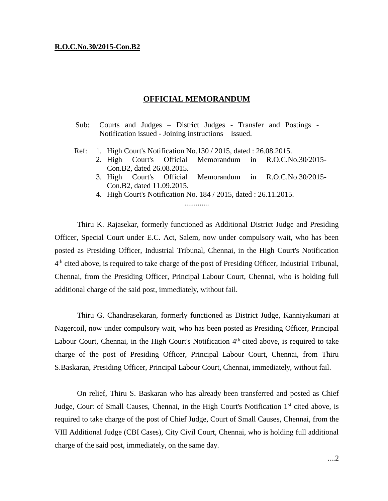### **R.O.C.No.30/2015-Con.B2**

## **OFFICIAL MEMORANDUM**

|                                                      |  |  |  |  |  |  |  |  | Sub: Courts and Judges – District Judges - Transfer and Postings - |  |
|------------------------------------------------------|--|--|--|--|--|--|--|--|--------------------------------------------------------------------|--|
| Notification issued - Joining instructions – Issued. |  |  |  |  |  |  |  |  |                                                                    |  |

- Ref: 1. High Court's Notification No.130 / 2015, dated : 26.08.2015.
	- 2. High Court's Official Memorandum in R.O.C.No.30/2015- Con.B2, dated 26.08.2015.
	- 3. High Court's Official Memorandum in R.O.C.No.30/2015- Con.B2, dated 11.09.2015.
	- 4. High Court's Notification No. 184 / 2015, dated : 26.11.2015. .............

Thiru K. Rajasekar, formerly functioned as Additional District Judge and Presiding Officer, Special Court under E.C. Act, Salem, now under compulsory wait, who has been posted as Presiding Officer, Industrial Tribunal, Chennai, in the High Court's Notification 4<sup>th</sup> cited above, is required to take charge of the post of Presiding Officer, Industrial Tribunal, Chennai, from the Presiding Officer, Principal Labour Court, Chennai, who is holding full additional charge of the said post, immediately, without fail.

Thiru G. Chandrasekaran, formerly functioned as District Judge, Kanniyakumari at Nagercoil, now under compulsory wait, who has been posted as Presiding Officer, Principal Labour Court, Chennai, in the High Court's Notification 4<sup>th</sup> cited above, is required to take charge of the post of Presiding Officer, Principal Labour Court, Chennai, from Thiru S.Baskaran, Presiding Officer, Principal Labour Court, Chennai, immediately, without fail.

On relief, Thiru S. Baskaran who has already been transferred and posted as Chief Judge, Court of Small Causes, Chennai, in the High Court's Notification 1<sup>st</sup> cited above, is required to take charge of the post of Chief Judge, Court of Small Causes, Chennai, from the VIII Additional Judge (CBI Cases), City Civil Court, Chennai, who is holding full additional charge of the said post, immediately, on the same day.